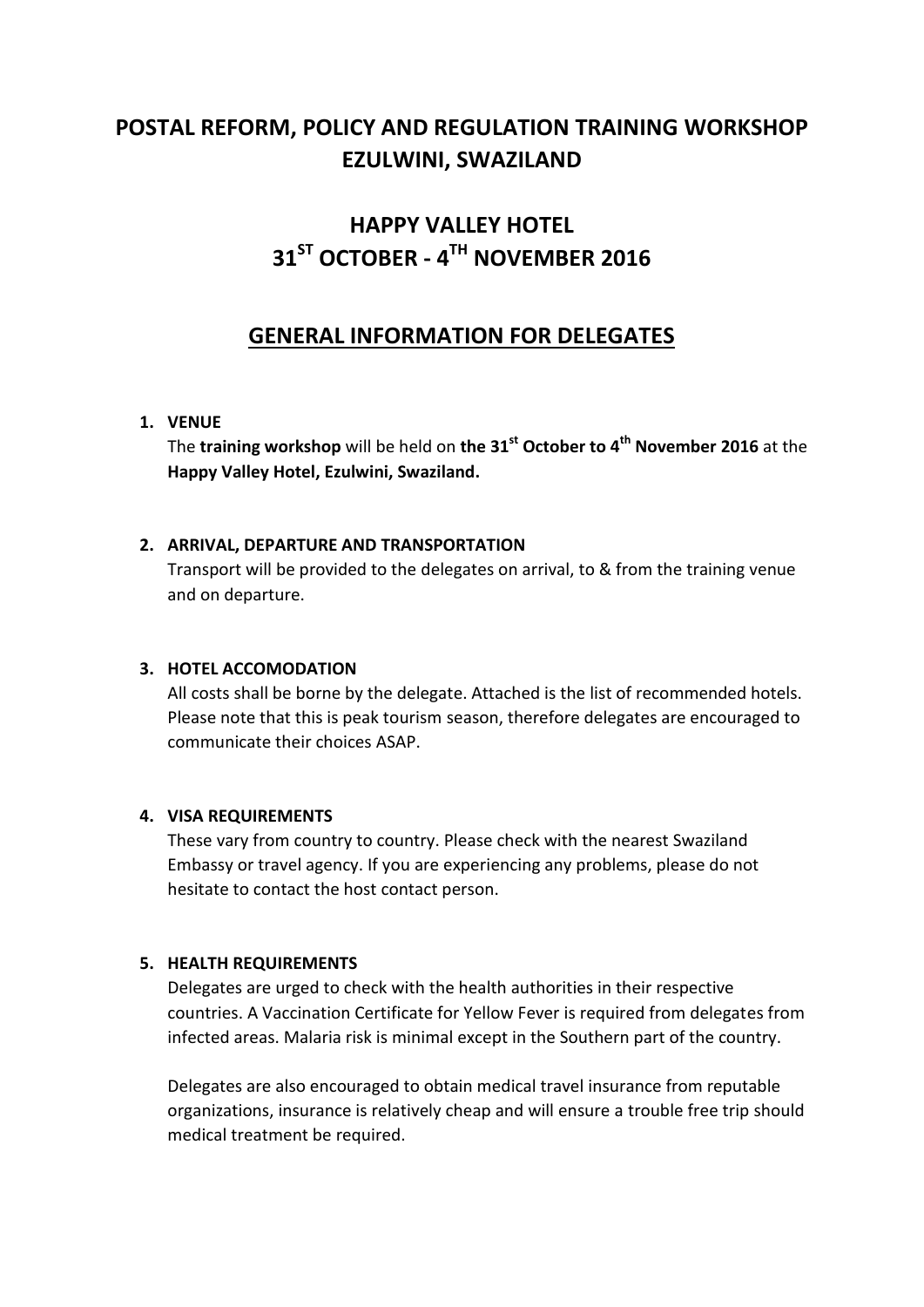## **POSTAL REFORM, POLICY AND REGULATION TRAINING WORKSHOP EZULWINI, SWAZILAND**

## **HAPPY VALLEY HOTEL 31ST OCTOBER - 4 TH NOVEMBER 2016**

### **GENERAL INFORMATION FOR DELEGATES**

#### **1. VENUE**

The **training workshop** will be held on **the 31 st October to 4th November 2016** at the **Happy Valley Hotel, Ezulwini, Swaziland.**

#### **2. ARRIVAL, DEPARTURE AND TRANSPORTATION**

Transport will be provided to the delegates on arrival, to & from the training venue and on departure.

#### **3. HOTEL ACCOMODATION**

All costs shall be borne by the delegate. Attached is the list of recommended hotels. Please note that this is peak tourism season, therefore delegates are encouraged to communicate their choices ASAP.

#### **4. VISA REQUIREMENTS**

These vary from country to country. Please check with the nearest Swaziland Embassy or travel agency. If you are experiencing any problems, please do not hesitate to contact the host contact person.

#### **5. HEALTH REQUIREMENTS**

Delegates are urged to check with the health authorities in their respective countries. A Vaccination Certificate for Yellow Fever is required from delegates from infected areas. Malaria risk is minimal except in the Southern part of the country.

Delegates are also encouraged to obtain medical travel insurance from reputable organizations, insurance is relatively cheap and will ensure a trouble free trip should medical treatment be required.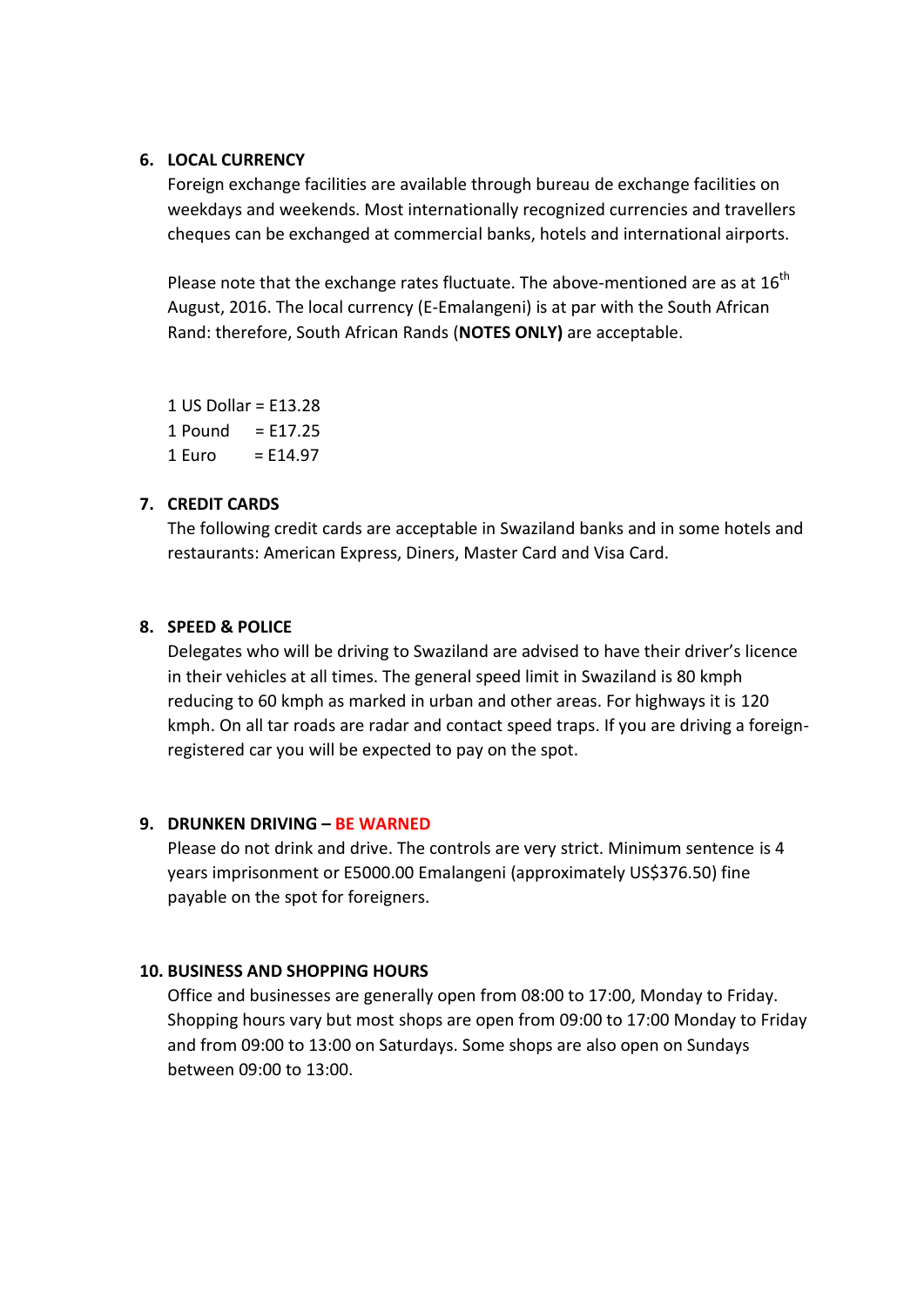#### **6. LOCAL CURRENCY**

Foreign exchange facilities are available through bureau de exchange facilities on weekdays and weekends. Most internationally recognized currencies and travellers cheques can be exchanged at commercial banks, hotels and international airports.

Please note that the exchange rates fluctuate. The above-mentioned are as at  $16^{th}$ August, 2016. The local currency (E-Emalangeni) is at par with the South African Rand: therefore, South African Rands (**NOTES ONLY)** are acceptable.

1 US Dollar = E13.28  $1$  Pound = E17.25  $1 \text{ Furo} = F14.97$ 

#### **7. CREDIT CARDS**

The following credit cards are acceptable in Swaziland banks and in some hotels and restaurants: American Express, Diners, Master Card and Visa Card.

#### **8. SPEED & POLICE**

Delegates who will be driving to Swaziland are advised to have their driver's licence in their vehicles at all times. The general speed limit in Swaziland is 80 kmph reducing to 60 kmph as marked in urban and other areas. For highways it is 120 kmph. On all tar roads are radar and contact speed traps. If you are driving a foreignregistered car you will be expected to pay on the spot.

#### **9. DRUNKEN DRIVING – BE WARNED**

Please do not drink and drive. The controls are very strict. Minimum sentence is 4 years imprisonment or E5000.00 Emalangeni (approximately US\$376.50) fine payable on the spot for foreigners.

#### **10. BUSINESS AND SHOPPING HOURS**

Office and businesses are generally open from 08:00 to 17:00, Monday to Friday. Shopping hours vary but most shops are open from 09:00 to 17:00 Monday to Friday and from 09:00 to 13:00 on Saturdays. Some shops are also open on Sundays between 09:00 to 13:00.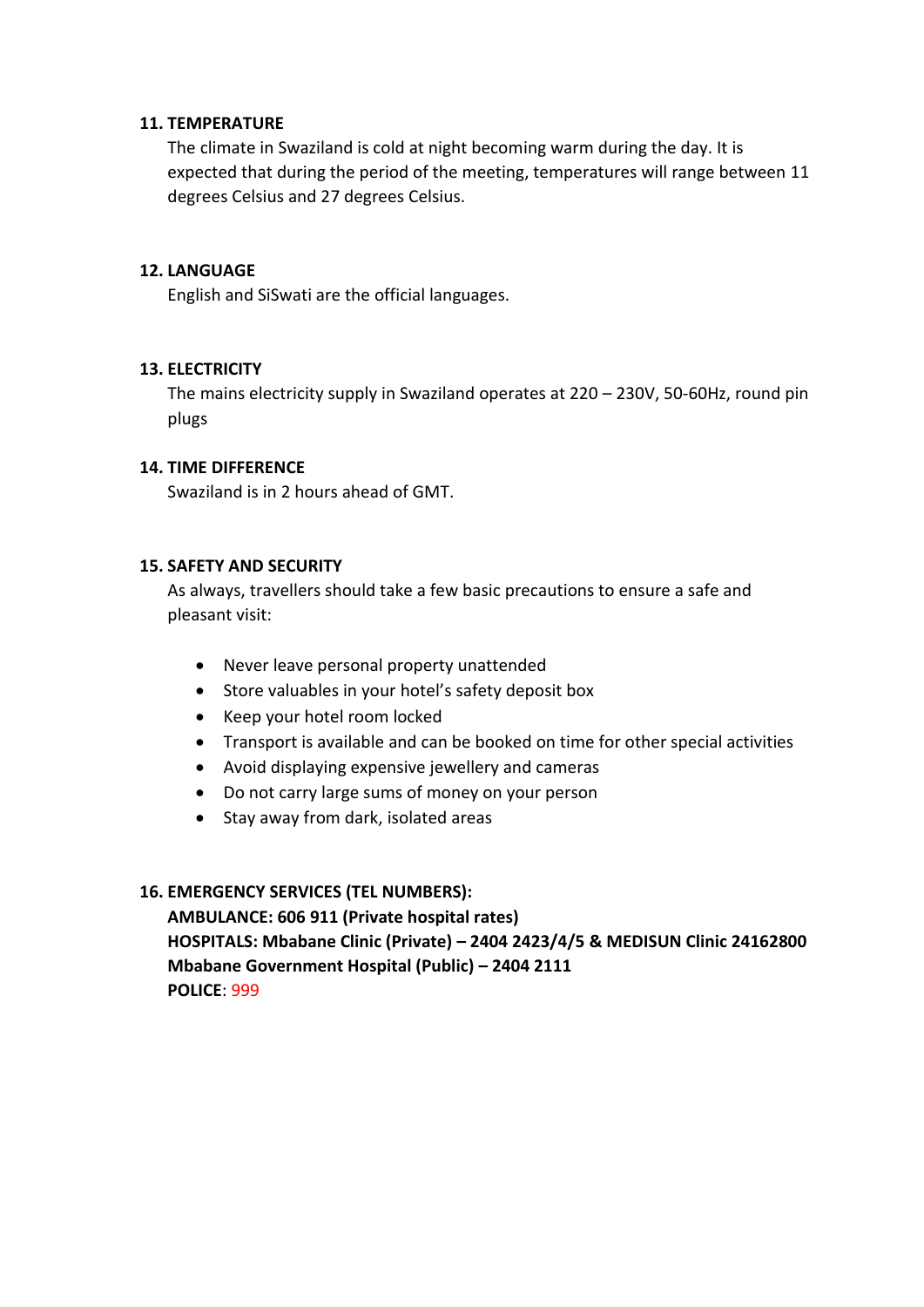#### **11. TEMPERATURE**

The climate in Swaziland is cold at night becoming warm during the day. It is expected that during the period of the meeting, temperatures will range between 11 degrees Celsius and 27 degrees Celsius.

#### **12. LANGUAGE**

English and SiSwati are the official languages.

#### **13. ELECTRICITY**

The mains electricity supply in Swaziland operates at 220 – 230V, 50-60Hz, round pin plugs

#### **14. TIME DIFFERENCE**

Swaziland is in 2 hours ahead of GMT.

#### **15. SAFETY AND SECURITY**

As always, travellers should take a few basic precautions to ensure a safe and pleasant visit:

- Never leave personal property unattended
- Store valuables in your hotel's safety deposit box
- Keep your hotel room locked
- Transport is available and can be booked on time for other special activities
- Avoid displaying expensive jewellery and cameras
- Do not carry large sums of money on your person
- Stay away from dark, isolated areas

#### **16. EMERGENCY SERVICES (TEL NUMBERS):**

**AMBULANCE: 606 911 (Private hospital rates) HOSPITALS: Mbabane Clinic (Private) – 2404 2423/4/5 & MEDISUN Clinic 24162800 Mbabane Government Hospital (Public) – 2404 2111 POLICE**: 999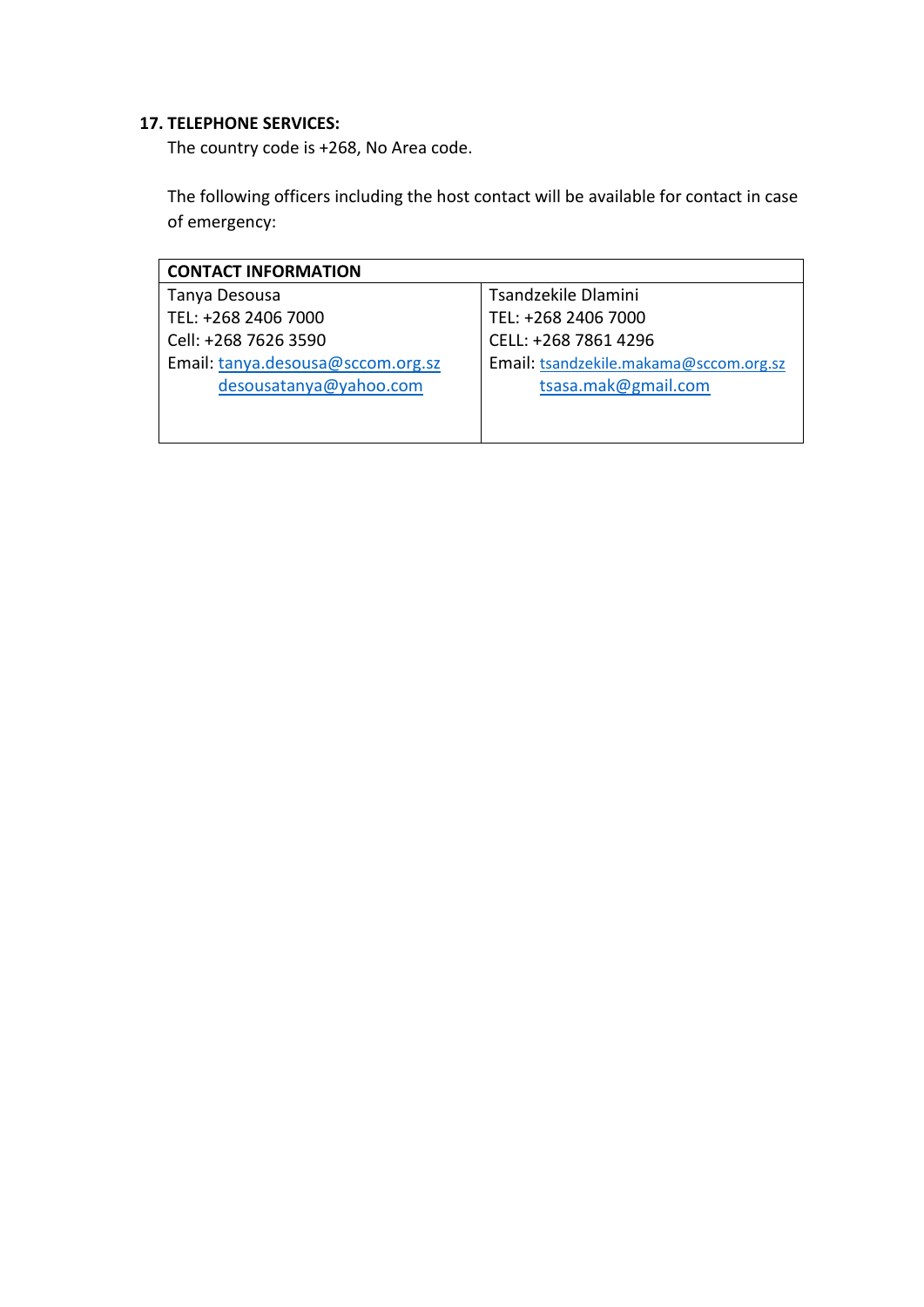#### **17. TELEPHONE SERVICES:**

The country code is +268, No Area code.

The following officers including the host contact will be available for contact in case of emergency:

| <b>CONTACT INFORMATION</b>        |                                        |  |
|-----------------------------------|----------------------------------------|--|
| Tanya Desousa                     | Tsandzekile Dlamini                    |  |
| TEL: +268 2406 7000               | TEL: +268 2406 7000                    |  |
| Cell: +268 7626 3590              | CELL: +268 7861 4296                   |  |
| Email: tanya.desousa@sccom.org.sz | Email: tsandzekile.makama@sccom.org.sz |  |
| desousatanya@yahoo.com            | tsasa.mak@gmail.com                    |  |
|                                   |                                        |  |
|                                   |                                        |  |